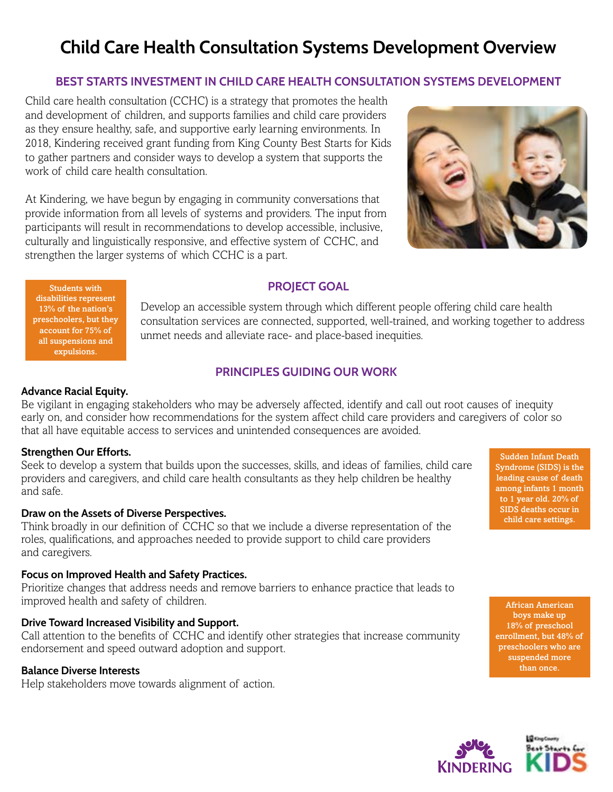# **Child Care Health Consultation Systems Development Overview**

# **BEST STARTS INVESTMENT IN CHILD CARE HEALTH CONSULTATION SYSTEMS DEVELOPMENT**

Child care health consultation (CCHC) is a strategy that promotes the health and development of children, and supports families and child care providers as they ensure healthy, safe, and supportive early learning environments. In 2018, Kindering received grant funding from King County Best Starts for Kids to gather partners and consider ways to develop a system that supports the work of child care health consultation.

At Kindering, we have begun by engaging in community conversations that provide information from all levels of systems and providers. The input from participants will result in recommendations to develop accessible, inclusive, culturally and linguistically responsive, and effective system of CCHC, and strengthen the larger systems of which CCHC is a part.



# **PROJECT GOAL**

Develop an accessible system through which different people offering child care health consultation services are connected, supported, well-trained, and working together to address unmet needs and alleviate race- and place-based inequities.

# **PRINCIPLES GUIDING OUR WORK**

#### **Advance Racial Equity.**

Be vigilant in engaging stakeholders who may be adversely affected, identify and call out root causes of inequity early on, and consider how recommendations for the system affect child care providers and caregivers of color so that all have equitable access to services and unintended consequences are avoided.

## **Strengthen Our Efforts.**

Seek to develop a system that builds upon the successes, skills, and ideas of families, child care providers and caregivers, and child care health consultants as they help children be healthy and safe.

#### **Draw on the Assets of Diverse Perspectives.**

Think broadly in our definition of CCHC so that we include a diverse representation of the roles, qualifications, and approaches needed to provide support to child care providers and caregivers.

#### **Focus on Improved Health and Safety Practices.**

Prioritize changes that address needs and remove barriers to enhance practice that leads to improved health and safety of children.

#### **Drive Toward Increased Visibility and Support.**

Call attention to the benefits of CCHC and identify other strategies that increase community endorsement and speed outward adoption and support.

## **Balance Diverse Interests**

Help stakeholders move towards alignment of action.

Sudden Infant Death Syndrome (SIDS) is the leading cause of death among infants 1 month to 1 year old. 20% of SIDS deaths occur in child care settings.

African American boys make up 18% of preschool enrollment, but 48% of preschoolers who are suspended more than once.



Students with disabilities represent 13% of the nation's preschoolers, but they account for 75% of all suspensions and expulsions.